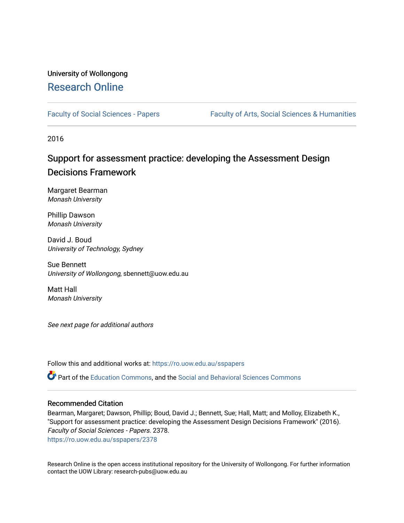# University of Wollongong [Research Online](https://ro.uow.edu.au/)

[Faculty of Social Sciences - Papers](https://ro.uow.edu.au/sspapers) Faculty of Arts, Social Sciences & Humanities

2016

# Support for assessment practice: developing the Assessment Design Decisions Framework

Margaret Bearman Monash University

Phillip Dawson Monash University

David J. Boud University of Technology, Sydney

Sue Bennett University of Wollongong, sbennett@uow.edu.au

Matt Hall Monash University

See next page for additional authors

Follow this and additional works at: [https://ro.uow.edu.au/sspapers](https://ro.uow.edu.au/sspapers?utm_source=ro.uow.edu.au%2Fsspapers%2F2378&utm_medium=PDF&utm_campaign=PDFCoverPages) 

Part of the [Education Commons](http://network.bepress.com/hgg/discipline/784?utm_source=ro.uow.edu.au%2Fsspapers%2F2378&utm_medium=PDF&utm_campaign=PDFCoverPages), and the [Social and Behavioral Sciences Commons](http://network.bepress.com/hgg/discipline/316?utm_source=ro.uow.edu.au%2Fsspapers%2F2378&utm_medium=PDF&utm_campaign=PDFCoverPages) 

# Recommended Citation

Bearman, Margaret; Dawson, Phillip; Boud, David J.; Bennett, Sue; Hall, Matt; and Molloy, Elizabeth K., "Support for assessment practice: developing the Assessment Design Decisions Framework" (2016). Faculty of Social Sciences - Papers. 2378. [https://ro.uow.edu.au/sspapers/2378](https://ro.uow.edu.au/sspapers/2378?utm_source=ro.uow.edu.au%2Fsspapers%2F2378&utm_medium=PDF&utm_campaign=PDFCoverPages)

Research Online is the open access institutional repository for the University of Wollongong. For further information contact the UOW Library: research-pubs@uow.edu.au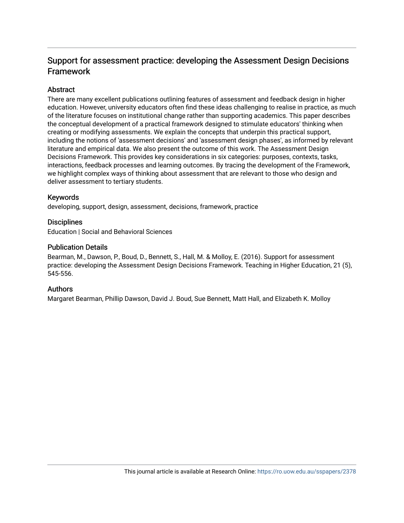# Support for assessment practice: developing the Assessment Design Decisions Framework

# **Abstract**

There are many excellent publications outlining features of assessment and feedback design in higher education. However, university educators often find these ideas challenging to realise in practice, as much of the literature focuses on institutional change rather than supporting academics. This paper describes the conceptual development of a practical framework designed to stimulate educators' thinking when creating or modifying assessments. We explain the concepts that underpin this practical support, including the notions of 'assessment decisions' and 'assessment design phases', as informed by relevant literature and empirical data. We also present the outcome of this work. The Assessment Design Decisions Framework. This provides key considerations in six categories: purposes, contexts, tasks, interactions, feedback processes and learning outcomes. By tracing the development of the Framework, we highlight complex ways of thinking about assessment that are relevant to those who design and deliver assessment to tertiary students.

# Keywords

developing, support, design, assessment, decisions, framework, practice

# **Disciplines**

Education | Social and Behavioral Sciences

# Publication Details

Bearman, M., Dawson, P., Boud, D., Bennett, S., Hall, M. & Molloy, E. (2016). Support for assessment practice: developing the Assessment Design Decisions Framework. Teaching in Higher Education, 21 (5), 545-556.

# Authors

Margaret Bearman, Phillip Dawson, David J. Boud, Sue Bennett, Matt Hall, and Elizabeth K. Molloy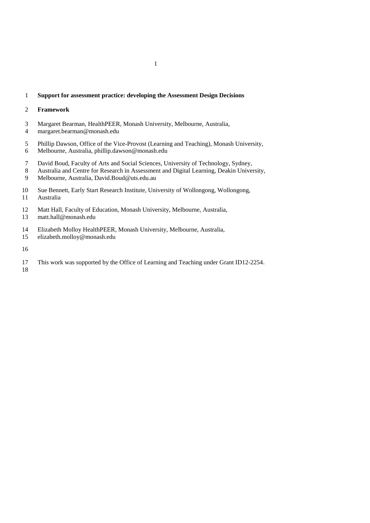# **Support for assessment practice: developing the Assessment Design Decisions**

## **Framework**

- Margaret Bearman, HealthPEER, Monash University, Melbourne, Australia,
- margaret.bearman@monash.edu
- Phillip Dawson, Office of the Vice-Provost (Learning and Teaching), Monash University, Melbourne, Australia, phillip.dawson@monash.edu
- David Boud, Faculty of Arts and Social Sciences, University of Technology, Sydney,
- Australia and Centre for Research in Assessment and Digital Learning, Deakin University,
- Melbourne, Australia, David.Boud@uts.edu.au
- Sue Bennett, Early Start Research Institute, University of Wollongong, Wollongong,
- Australia
- Matt Hall, Faculty of Education, Monash University, Melbourne, Australia,
- matt.hall@monash.edu
- Elizabeth Molloy HealthPEER, Monash University, Melbourne, Australia,
- elizabeth.molloy@monash.edu
- 
- This work was supported by the Office of Learning and Teaching under Grant ID12-2254.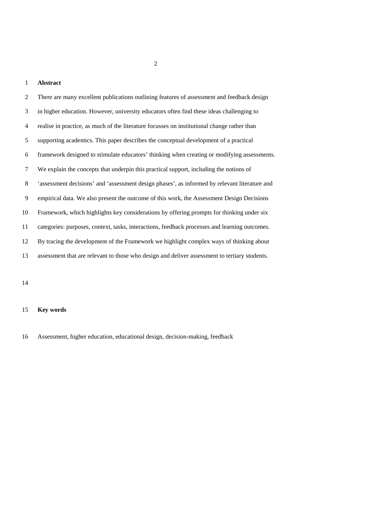# **Abstract**

| 2              | There are many excellent publications outlining features of assessment and feedback design    |
|----------------|-----------------------------------------------------------------------------------------------|
| 3              | in higher education. However, university educators often find these ideas challenging to      |
| $\overline{4}$ | realise in practice, as much of the literature focusses on institutional change rather than   |
| 5              | supporting academics. This paper describes the conceptual development of a practical          |
| 6              | framework designed to stimulate educators' thinking when creating or modifying assessments.   |
| 7              | We explain the concepts that underpin this practical support, including the notions of        |
| 8              | 'assessment decisions' and 'assessment design phases', as informed by relevant literature and |
| 9              | empirical data. We also present the outcome of this work, the Assessment Design Decisions     |
| 10             | Framework, which highlights key considerations by offering prompts for thinking under six     |
| 11             | categories: purposes, context, tasks, interactions, feedback processes and learning outcomes. |
| 12             | By tracing the development of the Framework we highlight complex ways of thinking about       |
| 13             | assessment that are relevant to those who design and deliver assessment to tertiary students. |
|                |                                                                                               |

# **Key words**

Assessment, higher education, educational design, decision-making, feedback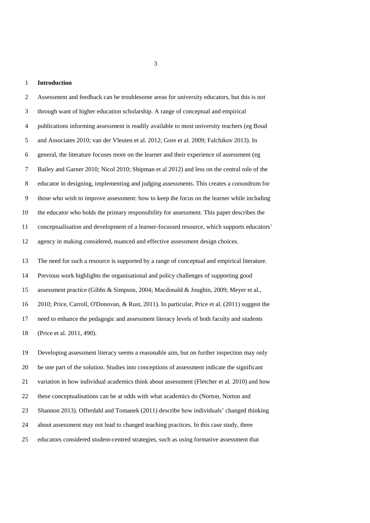#### **Introduction**

 Assessment and feedback can be troublesome areas for university educators, but this is not through want of higher education scholarship. A range of conceptual and empirical publications informing assessment is readily available to most university teachers (eg Boud and Associates 2010; van der Vleuten et al. 2012; Gore et al. 2009; Falchikov 2013). In general, the literature focuses more on the learner and their experience of assessment (eg Bailey and Garner 2010; Nicol 2010; Shipman et al 2012) and less on the central role of the educator in designing, implementing and judging assessments. This creates a conundrum for those who wish to improve assessment: how to keep the focus on the learner while including the educator who holds the primary responsibility for assessment. This paper describes the conceptualisation and development of a learner-focussed resource, which supports educators' agency in making considered, nuanced and effective assessment design choices. The need for such a resource is supported by a range of conceptual and empirical literature. Previous work highlights the organisational and policy challenges of supporting good assessment practice (Gibbs & Simpson, 2004; Macdonald & Joughin, 2009; Meyer et al., 2010; Price, Carroll, O'Donovan, & Rust, 2011). In particular, Price et al. (2011) suggest the need to enhance the pedagogic and assessment literacy levels of both faculty and students (Price et al. 2011, 490). Developing assessment literacy seems a reasonable aim, but on further inspection may only be one part of the solution. Studies into conceptions of assessment indicate the significant variation in how individual academics think about assessment (Fletcher et al. 2010) and how these conceptualisations can be at odds with what academics do (Norton, Norton and Shannon 2013). Offerdahl and Tomanek (2011) describe how individuals' changed thinking about assessment may not lead to changed teaching practices. In this case study, three educators considered student-centred strategies, such as using formative assessment that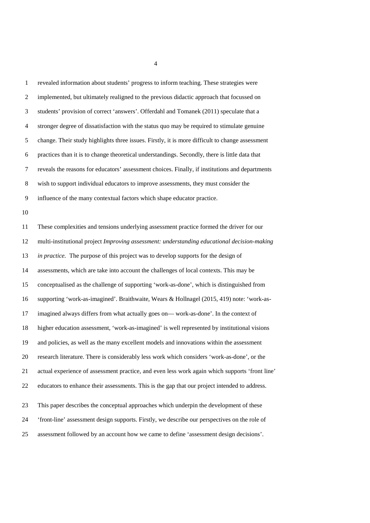revealed information about students' progress to inform teaching. These strategies were implemented, but ultimately realigned to the previous didactic approach that focussed on students' provision of correct 'answers'. Offerdahl and Tomanek (2011) speculate that a stronger degree of dissatisfaction with the status quo may be required to stimulate genuine change. Their study highlights three issues. Firstly, it is more difficult to change assessment practices than it is to change theoretical understandings. Secondly, there is little data that reveals the reasons for educators' assessment choices. Finally, if institutions and departments wish to support individual educators to improve assessments, they must consider the influence of the many contextual factors which shape educator practice. These complexities and tensions underlying assessment practice formed the driver for our multi-institutional project *Improving assessment: understanding educational decision-making in practice.* The purpose of this project was to develop supports for the design of assessments, which are take into account the challenges of local contexts. This may be conceptualised as the challenge of supporting 'work-as-done', which is distinguished from supporting 'work-as-imagined'. Braithwaite, Wears & Hollnagel (2015, 419) note: 'work-as- imagined always differs from what actually goes on— work-as-done'. In the context of higher education assessment, 'work-as-imagined' is well represented by institutional visions and policies, as well as the many excellent models and innovations within the assessment research literature. There is considerably less work which considers 'work-as-done', or the actual experience of assessment practice, and even less work again which supports 'front line' educators to enhance their assessments. This is the gap that our project intended to address. This paper describes the conceptual approaches which underpin the development of these 'front-line' assessment design supports. Firstly, we describe our perspectives on the role of assessment followed by an account how we came to define 'assessment design decisions'.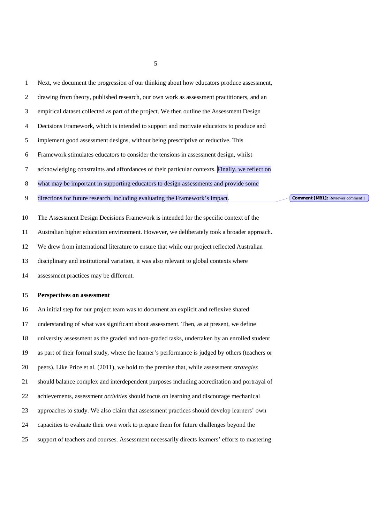| $\mathbf{1}$ | Next, we document the progression of our thinking about how educators produce assessment,                         |  |
|--------------|-------------------------------------------------------------------------------------------------------------------|--|
| 2            | drawing from theory, published research, our own work as assessment practitioners, and an                         |  |
| 3            | empirical dataset collected as part of the project. We then outline the Assessment Design                         |  |
| 4            | Decisions Framework, which is intended to support and motivate educators to produce and                           |  |
| 5            | implement good assessment designs, without being prescriptive or reductive. This                                  |  |
| 6            | Framework stimulates educators to consider the tensions in assessment design, whilst                              |  |
| 7            | acknowledging constraints and affordances of their particular contexts. Finally, we reflect on                    |  |
| 8            | what may be important in supporting educators to design assessments and provide some                              |  |
| 9            | directions for future research, including evaluating the Framework's impact.<br>Comment [MB1]: Reviewer comment 1 |  |
| 10           | The Assessment Design Decisions Framework is intended for the specific context of the                             |  |
| 11           | Australian higher education environment. However, we deliberately took a broader approach.                        |  |
| 12           | We drew from international literature to ensure that while our project reflected Australian                       |  |
| 13           | disciplinary and institutional variation, it was also relevant to global contexts where                           |  |
| 14           | assessment practices may be different.                                                                            |  |
| 15           | <b>Perspectives on assessment</b>                                                                                 |  |
| 16           | An initial step for our project team was to document an explicit and reflexive shared                             |  |
| 17           | understanding of what was significant about assessment. Then, as at present, we define                            |  |
| 18           | university assessment as the graded and non-graded tasks, undertaken by an enrolled student                       |  |
| 19           | as part of their formal study, where the learner's performance is judged by others (teachers or                   |  |
| 20           | peers). Like Price et al. (2011), we hold to the premise that, while assessment <i>strategies</i>                 |  |
| 21           | should balance complex and interdependent purposes including accreditation and portrayal of                       |  |
| 22           | achievements, assessment <i>activities</i> should focus on learning and discourage mechanical                     |  |
| 23           | approaches to study. We also claim that assessment practices should develop learners' own                         |  |

- 
- capacities to evaluate their own work to prepare them for future challenges beyond the
- support of teachers and courses. Assessment necessarily directs learners' efforts to mastering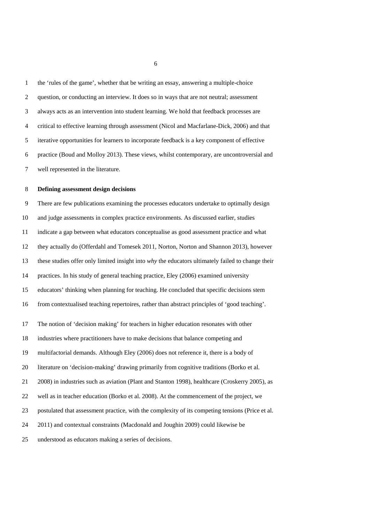the 'rules of the game', whether that be writing an essay, answering a multiple-choice question, or conducting an interview. It does so in ways that are not neutral; assessment always acts as an intervention into student learning. We hold that feedback processes are critical to effective learning through assessment (Nicol and Macfarlane-Dick, 2006) and that iterative opportunities for learners to incorporate feedback is a key component of effective practice (Boud and Molloy 2013). These views, whilst contemporary, are uncontroversial and well represented in the literature.

### **Defining assessment design decisions**

 There are few publications examining the processes educators undertake to optimally design and judge assessments in complex practice environments. As discussed earlier, studies indicate a gap between what educators conceptualise as good assessment practice and what they actually do (Offerdahl and Tomesek 2011, Norton, Norton and Shannon 2013), however these studies offer only limited insight into *why* the educators ultimately failed to change their practices. In his study of general teaching practice, Eley (2006) examined university educators' thinking when planning for teaching. He concluded that specific decisions stem from contextualised teaching repertoires, rather than abstract principles of 'good teaching'. The notion of 'decision making' for teachers in higher education resonates with other industries where practitioners have to make decisions that balance competing and multifactorial demands. Although Eley (2006) does not reference it, there is a body of literature on 'decision-making' drawing primarily from cognitive traditions (Borko et al. 2008) in industries such as aviation (Plant and Stanton 1998), healthcare (Croskerry 2005), as well as in teacher education (Borko et al. 2008). At the commencement of the project, we postulated that assessment practice, with the complexity of its competing tensions (Price et al. 2011) and contextual constraints (Macdonald and Joughin 2009) could likewise be understood as educators making a series of decisions.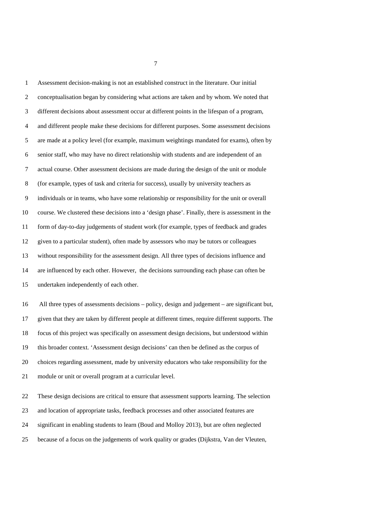Assessment decision-making is not an established construct in the literature. Our initial conceptualisation began by considering what actions are taken and by whom. We noted that different decisions about assessment occur at different points in the lifespan of a program, and different people make these decisions for different purposes. Some assessment decisions are made at a policy level (for example, maximum weightings mandated for exams), often by senior staff, who may have no direct relationship with students and are independent of an actual course. Other assessment decisions are made during the design of the unit or module (for example, types of task and criteria for success), usually by university teachers as individuals or in teams, who have some relationship or responsibility for the unit or overall course. We clustered these decisions into a 'design phase'. Finally, there is assessment in the form of day-to-day judgements of student work (for example, types of feedback and grades given to a particular student), often made by assessors who may be tutors or colleagues without responsibility for the assessment design. All three types of decisions influence and are influenced by each other. However, the decisions surrounding each phase can often be undertaken independently of each other. All three types of assessments decisions – policy, design and judgement – are significant but, given that they are taken by different people at different times, require different supports. The focus of this project was specifically on assessment design decisions, but understood within this broader context. 'Assessment design decisions' can then be defined as the corpus of choices regarding assessment, made by university educators who take responsibility for the module or unit or overall program at a curricular level.

 These design decisions are critical to ensure that assessment supports learning. The selection and location of appropriate tasks, feedback processes and other associated features are significant in enabling students to learn (Boud and Molloy 2013), but are often neglected because of a focus on the judgements of work quality or grades (Dijkstra, Van der Vleuten,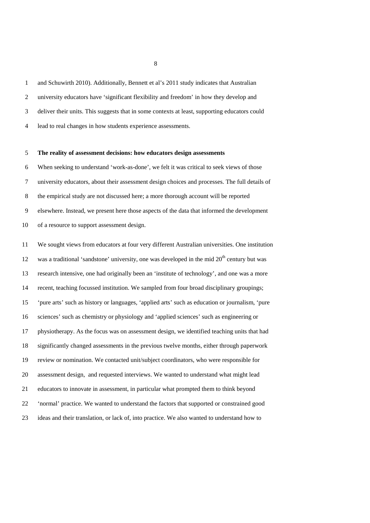and Schuwirth 2010). Additionally, Bennett et al's 2011 study indicates that Australian university educators have 'significant flexibility and freedom' in how they develop and deliver their units. This suggests that in some contexts at least, supporting educators could lead to real changes in how students experience assessments.

## **The reality of assessment decisions: how educators design assessments**

 When seeking to understand 'work-as-done', we felt it was critical to seek views of those university educators, about their assessment design choices and processes. The full details of the empirical study are not discussed here; a more thorough account will be reported elsewhere. Instead, we present here those aspects of the data that informed the development of a resource to support assessment design.

 We sought views from educators at four very different Australian universities. One institution 12 was a traditional 'sandstone' university, one was developed in the mid  $20<sup>th</sup>$  century but was research intensive, one had originally been an 'institute of technology', and one was a more recent, teaching focussed institution. We sampled from four broad disciplinary groupings; 'pure arts' such as history or languages, 'applied arts' such as education or journalism, 'pure sciences' such as chemistry or physiology and 'applied sciences' such as engineering or physiotherapy. As the focus was on assessment design, we identified teaching units that had significantly changed assessments in the previous twelve months, either through paperwork review or nomination. We contacted unit/subject coordinators, who were responsible for assessment design, and requested interviews. We wanted to understand what might lead educators to innovate in assessment, in particular what prompted them to think beyond 'normal' practice. We wanted to understand the factors that supported or constrained good ideas and their translation, or lack of, into practice. We also wanted to understand how to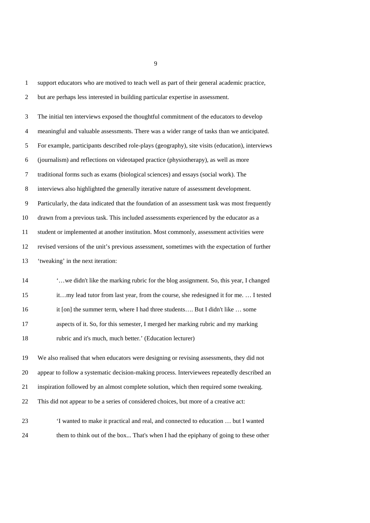| $\mathbf{1}$   | support educators who are motived to teach well as part of their general academic practice,     |
|----------------|-------------------------------------------------------------------------------------------------|
| 2              | but are perhaps less interested in building particular expertise in assessment.                 |
| 3              | The initial ten interviews exposed the thoughtful commitment of the educators to develop        |
| $\overline{4}$ | meaningful and valuable assessments. There was a wider range of tasks than we anticipated.      |
| 5              | For example, participants described role-plays (geography), site visits (education), interviews |
| 6              | (journalism) and reflections on videotaped practice (physiotherapy), as well as more            |
| 7              | traditional forms such as exams (biological sciences) and essays (social work). The             |
| 8              | interviews also highlighted the generally iterative nature of assessment development.           |
| 9              | Particularly, the data indicated that the foundation of an assessment task was most frequently  |
| 10             | drawn from a previous task. This included assessments experienced by the educator as a          |
| 11             | student or implemented at another institution. Most commonly, assessment activities were        |
| 12             | revised versions of the unit's previous assessment, sometimes with the expectation of further   |
| 13             | 'tweaking' in the next iteration:                                                               |
| 14             | 'we didn't like the marking rubric for the blog assignment. So, this year, I changed            |
| 15             | itmy lead tutor from last year, from the course, she redesigned it for me.  I tested            |
| 16             | it [on] the summer term, where I had three students But I didn't like  some                     |
| 17             | aspects of it. So, for this semester, I merged her marking rubric and my marking                |
| 18             | rubric and it's much, much better.' (Education lecturer)                                        |
| 19             | We also realised that when educators were designing or revising assessments, they did not       |
| 20             | appear to follow a systematic decision-making process. Interviewees repeatedly described an     |
| 21             | inspiration followed by an almost complete solution, which then required some tweaking.         |
| 22             | This did not appear to be a series of considered choices, but more of a creative act:           |
| 23             | 'I wanted to make it practical and real, and connected to education  but I wanted               |
| 24             | them to think out of the box That's when I had the epiphany of going to these other             |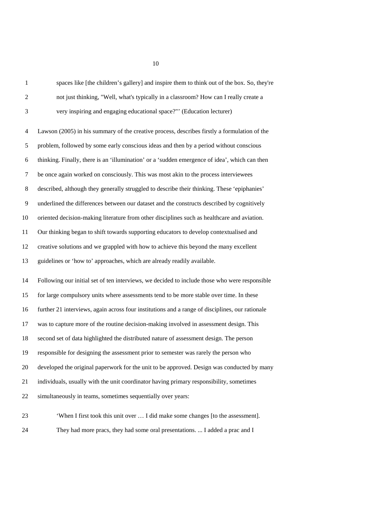| $\mathbf{1}$   | spaces like [the children's gallery] and inspire them to think out of the box. So, they're      |
|----------------|-------------------------------------------------------------------------------------------------|
| $\overline{c}$ | not just thinking, "Well, what's typically in a classroom? How can I really create a            |
| 3              | very inspiring and engaging educational space?"' (Education lecturer)                           |
| $\overline{4}$ | Lawson (2005) in his summary of the creative process, describes firstly a formulation of the    |
| 5              | problem, followed by some early conscious ideas and then by a period without conscious          |
| 6              | thinking. Finally, there is an 'illumination' or a 'sudden emergence of idea', which can then   |
| 7              | be once again worked on consciously. This was most akin to the process interviewees             |
| 8              | described, although they generally struggled to describe their thinking. These 'epiphanies'     |
| 9              | underlined the differences between our dataset and the constructs described by cognitively      |
| 10             | oriented decision-making literature from other disciplines such as healthcare and aviation.     |
| 11             | Our thinking began to shift towards supporting educators to develop contextualised and          |
| 12             | creative solutions and we grappled with how to achieve this beyond the many excellent           |
| 13             | guidelines or 'how to' approaches, which are already readily available.                         |
| 14             | Following our initial set of ten interviews, we decided to include those who were responsible   |
| 15             | for large compulsory units where assessments tend to be more stable over time. In these         |
| 16             | further 21 interviews, again across four institutions and a range of disciplines, our rationale |
| 17             | was to capture more of the routine decision-making involved in assessment design. This          |
| 18             | second set of data highlighted the distributed nature of assessment design. The person          |
| 19             | responsible for designing the assessment prior to semester was rarely the person who            |
| 20             | developed the original paperwork for the unit to be approved. Design was conducted by many      |
| 21             | individuals, usually with the unit coordinator having primary responsibility, sometimes         |
| 22             | simultaneously in teams, sometimes sequentially over years:                                     |
| 23             | 'When I first took this unit over  I did make some changes [to the assessment].                 |

They had more pracs, they had some oral presentations. ... I added a prac and I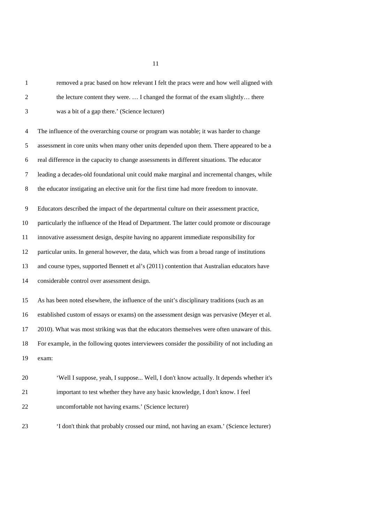| $\mathbf{1}$   | removed a prac based on how relevant I felt the pracs were and how well aligned with           |
|----------------|------------------------------------------------------------------------------------------------|
| 2              | the lecture content they were.  I changed the format of the exam slightly there                |
| 3              | was a bit of a gap there.' (Science lecturer)                                                  |
| $\overline{4}$ | The influence of the overarching course or program was notable; it was harder to change        |
| 5              | assessment in core units when many other units depended upon them. There appeared to be a      |
| 6              | real difference in the capacity to change assessments in different situations. The educator    |
| 7              | leading a decades-old foundational unit could make marginal and incremental changes, while     |
| 8              | the educator instigating an elective unit for the first time had more freedom to innovate.     |
| 9              | Educators described the impact of the departmental culture on their assessment practice,       |
| 10             | particularly the influence of the Head of Department. The latter could promote or discourage   |
| 11             | innovative assessment design, despite having no apparent immediate responsibility for          |
| 12             | particular units. In general however, the data, which was from a broad range of institutions   |
| 13             | and course types, supported Bennett et al's (2011) contention that Australian educators have   |
| 14             | considerable control over assessment design.                                                   |
| 15             | As has been noted elsewhere, the influence of the unit's disciplinary traditions (such as an   |
| 16             | established custom of essays or exams) on the assessment design was pervasive (Meyer et al.    |
| 17             | 2010). What was most striking was that the educators themselves were often unaware of this.    |
| 18             | For example, in the following quotes interviewees consider the possibility of not including an |
| 19             | exam:                                                                                          |
| 20             | 'Well I suppose, yeah, I suppose Well, I don't know actually. It depends whether it's          |
| 21             | important to test whether they have any basic knowledge, I don't know. I feel                  |
| 22             | uncomfortable not having exams.' (Science lecturer)                                            |
| 23             | 'I don't think that probably crossed our mind, not having an exam.' (Science lecturer)         |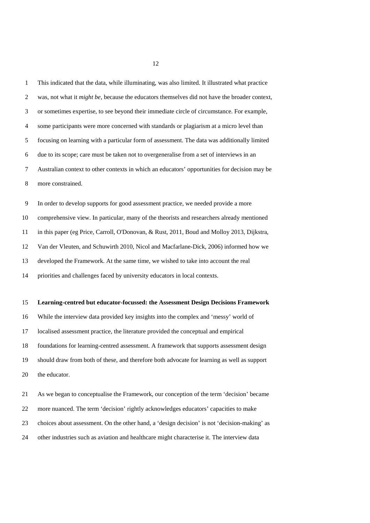This indicated that the data, while illuminating, was also limited. It illustrated what practice was, not what it *might be*, because the educators themselves did not have the broader context, or sometimes expertise, to see beyond their immediate circle of circumstance. For example, some participants were more concerned with standards or plagiarism at a micro level than focusing on learning with a particular form of assessment. The data was additionally limited due to its scope; care must be taken not to overgeneralise from a set of interviews in an Australian context to other contexts in which an educators' opportunities for decision may be more constrained. In order to develop supports for good assessment practice, we needed provide a more comprehensive view. In particular, many of the theorists and researchers already mentioned in this paper (eg Price, Carroll, O'Donovan, & Rust, 2011, Boud and Molloy 2013, Dijkstra, Van der Vleuten, and Schuwirth 2010, Nicol and Macfarlane-Dick, 2006) informed how we developed the Framework. At the same time, we wished to take into account the real

priorities and challenges faced by university educators in local contexts.

#### **Learning-centred but educator-focussed: the Assessment Design Decisions Framework**

 While the interview data provided key insights into the complex and 'messy' world of localised assessment practice, the literature provided the conceptual and empirical foundations for learning-centred assessment. A framework that supports assessment design should draw from both of these, and therefore both advocate for learning as well as support the educator.

 As we began to conceptualise the Framework, our conception of the term 'decision' became more nuanced. The term 'decision' rightly acknowledges educators' capacities to make choices about assessment. On the other hand, a 'design decision' is not 'decision-making' as other industries such as aviation and healthcare might characterise it. The interview data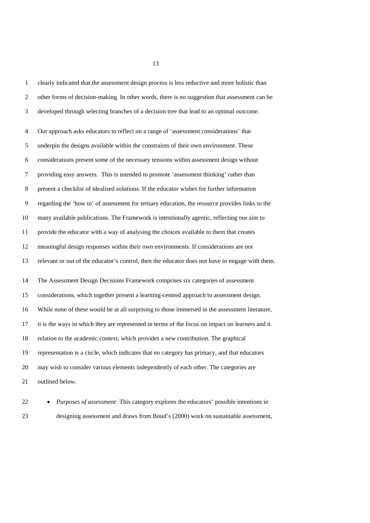clearly indicated that the assessment design process is less reductive and more holistic than other forms of decision-making. In other words, there is no suggestion that assessment can be developed through selecting branches of a decision tree that lead to an optimal outcome. Our approach asks educators to reflect on a range of 'assessment considerations' that underpin the designs available within the constraints of their own environment. These considerations present some of the necessary tensions within assessment design without providing easy answers. This is intended to promote 'assessment thinking' rather than present a checklist of idealised solutions. If the educator wishes for further information regarding the 'how to' of assessment for tertiary education, the resource provides links to the many available publications. The Framework is intentionally agentic, reflecting our aim to provide the educator with a way of analysing the choices available to them that creates meaningful design responses within their own environments. If considerations are not relevant or out of the educator's control, then the educator does not have to engage with them. The Assessment Design Decisions Framework comprises six categories of assessment considerations, which together present a learning-centred approach to assessment design. While none of these would be at all surprising to those immersed in the assessment literature, it is the ways in which they are represented in terms of the focus on impact on learners and it relation to the academic context, which provides a new contribution. The graphical representation is a circle, which indicates that no category has primacy, and that educators may wish to consider various elements independently of each other. The categories are outlined below. • *Purposes of assessment:* This category explores the educators' possible intentions in

designing assessment and draws from Boud's (2000) work on sustainable assessment,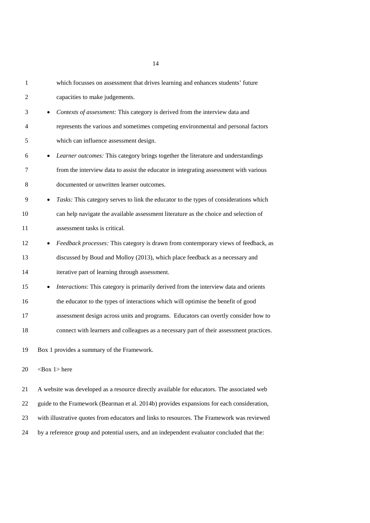| $\mathbf{1}$ | which focusses on assessment that drives learning and enhances students' future                    |
|--------------|----------------------------------------------------------------------------------------------------|
| 2            | capacities to make judgements.                                                                     |
| 3            | Contexts of assessment: This category is derived from the interview data and<br>$\bullet$          |
| 4            | represents the various and sometimes competing environmental and personal factors                  |
| 5            | which can influence assessment design.                                                             |
| 6            | Learner outcomes: This category brings together the literature and understandings<br>$\bullet$     |
| 7            | from the interview data to assist the educator in integrating assessment with various              |
| 8            | documented or unwritten learner outcomes.                                                          |
| 9            | Tasks: This category serves to link the educator to the types of considerations which<br>$\bullet$ |
| 10           | can help navigate the available assessment literature as the choice and selection of               |
| 11           | assessment tasks is critical.                                                                      |
| 12           | Feedback processes: This category is drawn from contemporary views of feedback, as<br>$\bullet$    |
| 13           | discussed by Boud and Molloy (2013), which place feedback as a necessary and                       |
| 14           | iterative part of learning through assessment.                                                     |
| 15           | Interactions: This category is primarily derived from the interview data and orients<br>$\bullet$  |
| 16           | the educator to the types of interactions which will optimise the benefit of good                  |
| 17           | assessment design across units and programs. Educators can overtly consider how to                 |
| 18           | connect with learners and colleagues as a necessary part of their assessment practices.            |
| 19           | Box 1 provides a summary of the Framework.                                                         |
| 20           | $<$ Box 1 $>$ here                                                                                 |
| 21           | A website was developed as a resource directly available for educators. The associated web         |
| 22           | guide to the Framework (Bearman et al. 2014b) provides expansions for each consideration,          |
| 23           | with illustrative quotes from educators and links to resources. The Framework was reviewed         |

by a reference group and potential users, and an independent evaluator concluded that the: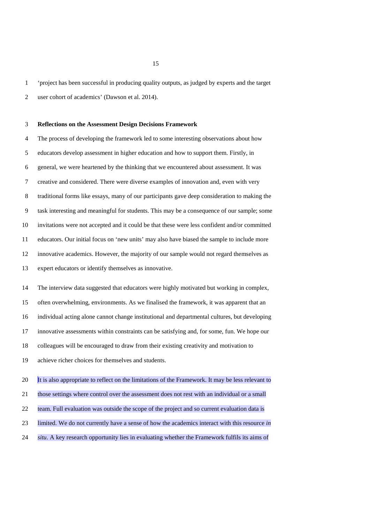'project has been successful in producing quality outputs, as judged by experts and the target

user cohort of academics' (Dawson et al. 2014).

# **Reflections on the Assessment Design Decisions Framework**

 The process of developing the framework led to some interesting observations about how educators develop assessment in higher education and how to support them. Firstly, in general, we were heartened by the thinking that we encountered about assessment. It was creative and considered. There were diverse examples of innovation and, even with very traditional forms like essays, many of our participants gave deep consideration to making the task interesting and meaningful for students. This may be a consequence of our sample; some invitations were not accepted and it could be that these were less confident and/or committed educators. Our initial focus on 'new units' may also have biased the sample to include more innovative academics. However, the majority of our sample would not regard themselves as expert educators or identify themselves as innovative.

 The interview data suggested that educators were highly motivated but working in complex, often overwhelming, environments. As we finalised the framework, it was apparent that an individual acting alone cannot change institutional and departmental cultures, but developing innovative assessments within constraints can be satisfying and, for some, fun. We hope our colleagues will be encouraged to draw from their existing creativity and motivation to achieve richer choices for themselves and students.

 It is also appropriate to reflect on the limitations of the Framework. It may be less relevant to those settings where control over the assessment does not rest with an individual or a small team. Full evaluation was outside the scope of the project and so current evaluation data is limited. We do not currently have a sense of how the academics interact with this resource *in situ*. A key research opportunity lies in evaluating whether the Framework fulfils its aims of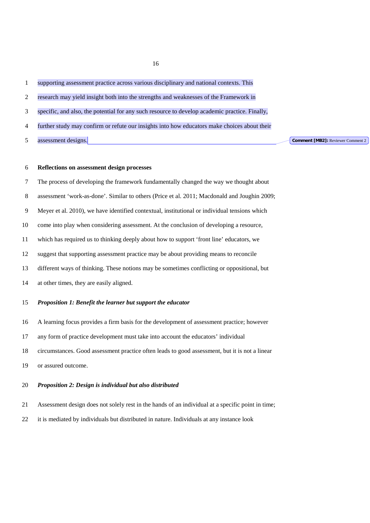supporting assessment practice across various disciplinary and national contexts. This

- research may yield insight both into the strengths and weaknesses of the Framework in
- specific, and also, the potential for any such resource to develop academic practice. Finally,
- further study may confirm or refute our insights into how educators make choices about their
- assessment designs.

**Comment [MB2]:** Reviewer Comment 2

## **Reflections on assessment design processes**

- The process of developing the framework fundamentally changed the way we thought about
- assessment 'work-as-done'. Similar to others (Price et al. 2011; Macdonald and Joughin 2009;
- Meyer et al. 2010), we have identified contextual, institutional or individual tensions which
- come into play when considering assessment. At the conclusion of developing a resource,
- which has required us to thinking deeply about how to support 'front line' educators, we
- suggest that supporting assessment practice may be about providing means to reconcile
- different ways of thinking. These notions may be sometimes conflicting or oppositional, but
- at other times, they are easily aligned.

## *Proposition 1: Benefit the learner but support the educator*

- A learning focus provides a firm basis for the development of assessment practice; however
- any form of practice development must take into account the educators' individual
- circumstances. Good assessment practice often leads to good assessment, but it is not a linear
- or assured outcome.

## *Proposition 2: Design is individual but also distributed*

- Assessment design does not solely rest in the hands of an individual at a specific point in time;
- it is mediated by individuals but distributed in nature. Individuals at any instance look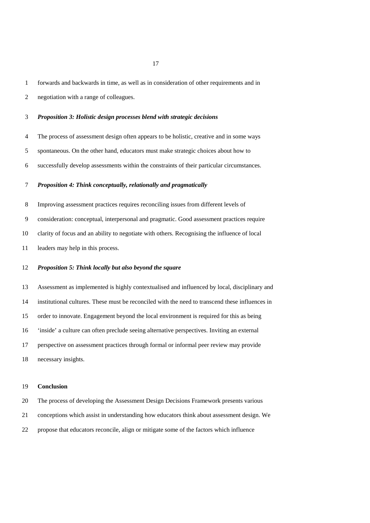forwards and backwards in time, as well as in consideration of other requirements and in

negotiation with a range of colleagues.

## *Proposition 3: Holistic design processes blend with strategic decisions*

The process of assessment design often appears to be holistic, creative and in some ways

spontaneous. On the other hand, educators must make strategic choices about how to

successfully develop assessments within the constraints of their particular circumstances.

## *Proposition 4: Think conceptually, relationally and pragmatically*

Improving assessment practices requires reconciling issues from different levels of

consideration: conceptual, interpersonal and pragmatic. Good assessment practices require

clarity of focus and an ability to negotiate with others. Recognising the influence of local

leaders may help in this process.

## *Proposition 5: Think locally but also beyond the square*

 Assessment as implemented is highly contextualised and influenced by local, disciplinary and institutional cultures. These must be reconciled with the need to transcend these influences in order to innovate. Engagement beyond the local environment is required for this as being 'inside' a culture can often preclude seeing alternative perspectives. Inviting an external perspective on assessment practices through formal or informal peer review may provide

necessary insights.

### **Conclusion**

The process of developing the Assessment Design Decisions Framework presents various

conceptions which assist in understanding how educators think about assessment design. We

propose that educators reconcile, align or mitigate some of the factors which influence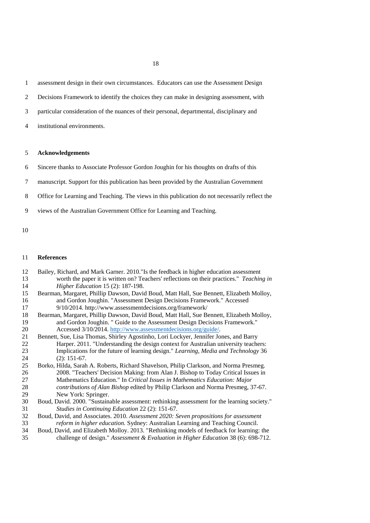assessment design in their own circumstances. Educators can use the Assessment Design

- Decisions Framework to identify the choices they can make in designing assessment, with
- particular consideration of the nuances of their personal, departmental, disciplinary and
- institutional environments.

### **Acknowledgements**

- Sincere thanks to Associate Professor Gordon Joughin for his thoughts on drafts of this
- manuscript. Support for this publication has been provided by the Australian Government
- Office for Learning and Teaching. The views in this publication do not necessarily reflect the
- views of the Australian Government Office for Learning and Teaching.
- 

# **References**

| 12 | Bailey, Richard, and Mark Garner. 2010."Is the feedback in higher education assessment       |
|----|----------------------------------------------------------------------------------------------|
| 13 | worth the paper it is written on? Teachers' reflections on their practices." Teaching in     |
| 14 | Higher Education 15 (2): 187-198.                                                            |
| 15 | Bearman, Margaret, Phillip Dawson, David Boud, Matt Hall, Sue Bennett, Elizabeth Molloy,     |
| 16 | and Gordon Joughin. "Assessment Design Decisions Framework." Accessed                        |
| 17 | 9/10/2014. http://www.assessmentdecisions.org/framework/                                     |
| 18 | Bearman, Margaret, Phillip Dawson, David Boud, Matt Hall, Sue Bennett, Elizabeth Molloy,     |
| 19 | and Gordon Joughin. " Guide to the Assessment Design Decisions Framework."                   |
| 20 | Accessed 3/10/2014. http://www.assessmentdecisions.org/guide/.                               |
| 21 | Bennett, Sue, Lisa Thomas, Shirley Agostinho, Lori Lockyer, Jennifer Jones, and Barry        |
| 22 | Harper. 2011. "Understanding the design context for Australian university teachers:          |
| 23 | Implications for the future of learning design." Learning, Media and Technology 36           |
| 24 | $(2): 151-67.$                                                                               |
| 25 | Borko, Hilda, Sarah A. Roberts, Richard Shavelson, Philip Clarkson, and Norma Presmeg.       |
| 26 | 2008. "Teachers' Decision Making: from Alan J. Bishop to Today Critical Issues in            |
| 27 | Mathematics Education." In Critical Issues in Mathematics Education: Major                   |
| 28 | contributions of Alan Bishop edited by Philip Clarkson and Norma Presmeg, 37-67.             |
| 29 | New York: Springer.                                                                          |
| 30 | Boud, David. 2000. "Sustainable assessment: rethinking assessment for the learning society." |
| 31 | Studies in Continuing Education 22 (2): 151-67.                                              |
| 32 | Boud, David, and Associates. 2010. Assessment 2020: Seven propositions for assessment        |
| 33 | reform in higher education. Sydney: Australian Learning and Teaching Council.                |
|    |                                                                                              |

 Boud, David, and Elizabeth Molloy. 2013. "Rethinking models of feedback for learning: the challenge of design." *Assessment & Evaluation in Higher Education* 38 (6): 698-712.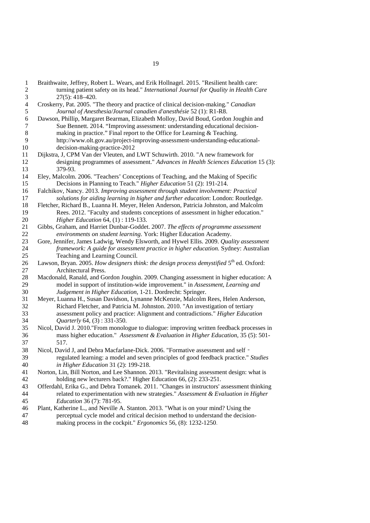Braithwaite, Jeffrey, Robert L. Wears, and Erik Hollnagel. 2015. "Resilient health care: turning patient safety on its head." *International Journal for Quality in Health Care* 27(5): 418–420. Croskerry, Pat. 2005. "The theory and practice of clinical decision-making." *Canadian Journal of Anesthesia/Journal canadien d'anesthésie* 52 (1): R1-R8. Dawson, Phillip, Margaret Bearman, Elizabeth Molloy, David Boud, Gordon Joughin and 7 Sue Bennett. 2014. "Improving assessment: understanding educational decision-<br>8 making in practice." Final report to the Office for Learning & Teaching. 8 making in practice." Final report to the Office for Learning & Teaching.<br>9 http://www.olt.gov.au/project-improving-assessment-understanding-edu- http://www.olt.gov.au/project-improving-assessment-understanding-educationaldecision-making-practice-2012 Dijkstra, J, CPM Van der Vleuten, and LWT Schuwirth. 2010. "A new framework for designing programmes of assessment." *Advances in Health Sciences Education* 15 (3): 379-93. Eley, Malcolm. 2006. "Teachers' Conceptions of Teaching, and the Making of Specific Decisions in Planning to Teach." *Higher Education* 51 (2): 191-214. Falchikov, Nancy. 2013. *Improving assessment through student involvement: Practical solutions for aiding learning in higher and further education*: London: Routledge. Fletcher, Richard B., Luanna H. Meyer, Helen Anderson, Patricia Johnston, and Malcolm Rees. 2012. "Faculty and students conceptions of assessment in higher education." *Higher Education* 64, (1) : 119-133. Gibbs, Graham, and Harriet Dunbar-Goddet. 2007. *The effects of programme assessment environments on student learning*. York: Higher Education Academy.<br>23 Gore, Jennifer, James Ladwig, Wendy Elsworth, and Hywel Ellis. 2009. *Qual*  Gore, Jennifer, James Ladwig, Wendy Elsworth, and Hywel Ellis. 2009. *Quality assessment framework: A guide for assessment practice in higher education.* Sydney: Australian Teaching and Learning Council. 26 Lawson, Bryan. 2005. *How designers think: the design process demystified* 5<sup>th</sup> ed. Oxford: Architectural Press. Macdonald, Ranald, and Gordon Joughin. 2009. Changing assessment in higher education: A model in support of institution-wide improvement." in *Assessment, Learning and Judgement in Higher Education*, 1-21. Dordrecht: Springer. Meyer, Luanna H., Susan Davidson, Lynanne McKenzie, Malcolm Rees, Helen Anderson, Richard Fletcher, and Patricia M. Johnston. 2010. "An investigation of tertiary assessment policy and practice: Alignment and contradictions." *Higher Education Quarterly* 64, (3) : 331-350. Nicol, David J. 2010."From monologue to dialogue: improving written feedback processes in mass higher education." *Assessment & Evaluation in Higher Education*, 35 (5): 501- 517. Nicol, David J, and Debra Macfarlane-Dick. 2006. "Formative assessment and self‐ regulated learning: a model and seven principles of good feedback practice." *Studies in Higher Education* 31 (2): 199-218. Norton, Lin, Bill Norton, and Lee Shannon. 2013. "Revitalising assessment design: what is holding new lecturers back?." Higher Education 66, (2): 233-251. Offerdahl, Erika G., and Debra Tomanek. 2011. "Changes in instructors' assessment thinking related to experimentation with new strategies." *Assessment & Evaluation in Higher Education* 36 (7): 781-95. Plant, Katherine L., and Neville A. Stanton. 2013. "What is on your mind? Using the perceptual cycle model and critical decision method to understand the decision-making process in the cockpit." *Ergonomics* 56, (8): 1232-1250.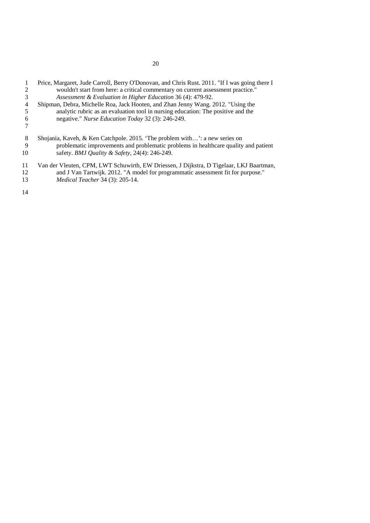| 3<br>4<br>5<br>6 | Price, Margaret, Jude Carroll, Berry O'Donovan, and Chris Rust. 2011. "If I was going there I<br>wouldn't start from here: a critical commentary on current assessment practice."<br>Assessment & Evaluation in Higher Education 36 (4): 479-92.<br>Shipman, Debra, Michelle Roa, Jack Hooten, and Zhan Jenny Wang. 2012. "Using the<br>analytic rubric as an evaluation tool in nursing education: The positive and the<br>negative." Nurse Education Today 32 (3): 246-249. |
|------------------|-------------------------------------------------------------------------------------------------------------------------------------------------------------------------------------------------------------------------------------------------------------------------------------------------------------------------------------------------------------------------------------------------------------------------------------------------------------------------------|
| 8                | Shojania, Kaveh, & Ken Catchpole. 2015. 'The problem with': a new series on                                                                                                                                                                                                                                                                                                                                                                                                   |
| 9                | problematic improvements and problematic problems in healthcare quality and patient                                                                                                                                                                                                                                                                                                                                                                                           |
| 10               | safety. BMJ Quality & Safety, 24(4): 246-249.                                                                                                                                                                                                                                                                                                                                                                                                                                 |
| 11               | Van der Vleuten, CPM, LWT Schuwirth, EW Driessen, J Dijkstra, D Tigelaar, LKJ Baartman,                                                                                                                                                                                                                                                                                                                                                                                       |
| 12               | and J Van Tartwijk. 2012. "A model for programmatic assessment fit for purpose."                                                                                                                                                                                                                                                                                                                                                                                              |
| 13               | <i>Medical Teacher</i> 34 (3): 205-14.                                                                                                                                                                                                                                                                                                                                                                                                                                        |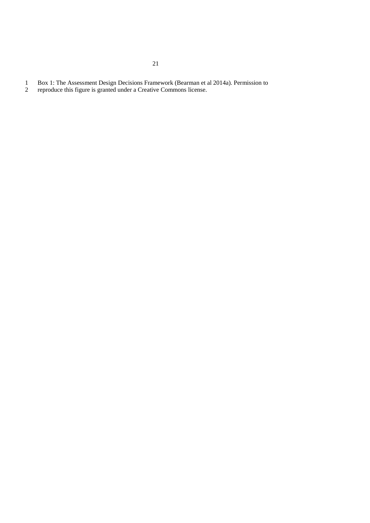- 1 Box 1: The Assessment Design Decisions Framework (Bearman et al 2014a). Permission to reproduce this figure is granted under a Creative Commons license.
- reproduce this figure is granted under a Creative Commons license.